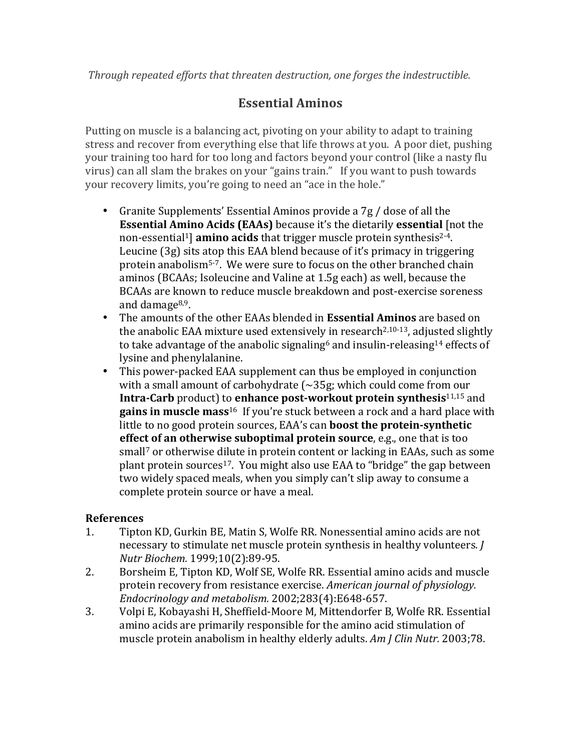## **Essential Aminos**

Putting on muscle is a balancing act, pivoting on your ability to adapt to training stress and recover from everything else that life throws at you. A poor diet, pushing your training too hard for too long and factors beyond your control (like a nasty flu virus) can all slam the brakes on your "gains train." If you want to push towards your recovery limits, you're going to need an "ace in the hole."

- Granite Supplements' Essential Aminos provide a  $7g/$  dose of all the **Essential Amino Acids (EAAs)** because it's the dietarily **essential** [not the non-essential<sup>1</sup>] amino acids that trigger muscle protein synthesis<sup>2-4</sup>. Leucine  $(3g)$  sits atop this EAA blend because of it's primacy in triggering protein anabolism<sup>5-7</sup>. We were sure to focus on the other branched chain aminos (BCAAs; Isoleucine and Valine at 1.5g each) as well, because the BCAAs are known to reduce muscle breakdown and post-exercise soreness and damage $8,9$ .
- The amounts of the other EAAs blended in **Essential Aminos** are based on the anabolic EAA mixture used extensively in research<sup>2,10-13</sup>, adjusted slightly to take advantage of the anabolic signaling<sup>6</sup> and insulin-releasing<sup>14</sup> effects of lysine and phenylalanine.
- This power-packed EAA supplement can thus be employed in conjunction with a small amount of carbohydrate  $\sim$  35g; which could come from our **Intra-Carb** product) to **enhance post-workout protein synthesis**<sup>11,15</sup> and **gains in muscle mass**<sup>16</sup> If you're stuck between a rock and a hard place with little to no good protein sources, EAA's can **boost the protein-synthetic effect of an otherwise suboptimal protein source**, e.g., one that is too small<sup>7</sup> or otherwise dilute in protein content or lacking in EAAs, such as some plant protein sources<sup>17</sup>. You might also use EAA to "bridge" the gap between two widely spaced meals, when you simply can't slip away to consume a complete protein source or have a meal.

## **References**

- 1. Tipton KD, Gurkin BE, Matin S, Wolfe RR. Nonessential amino acids are not necessary to stimulate net muscle protein synthesis in healthy volunteers. *J Nutr Biochem.* 1999;10(2):89-95.
- 2. Borsheim E, Tipton KD, Wolf SE, Wolfe RR. Essential amino acids and muscle protein recovery from resistance exercise. *American journal of physiology*. *Endocrinology and metabolism.* 2002;283(4):E648-657.
- 3. Volpi E, Kobayashi H, Sheffield-Moore M, Mittendorfer B, Wolfe RR. Essential amino acids are primarily responsible for the amino acid stimulation of muscle protein anabolism in healthy elderly adults. *Am J Clin Nutr.* 2003;78.